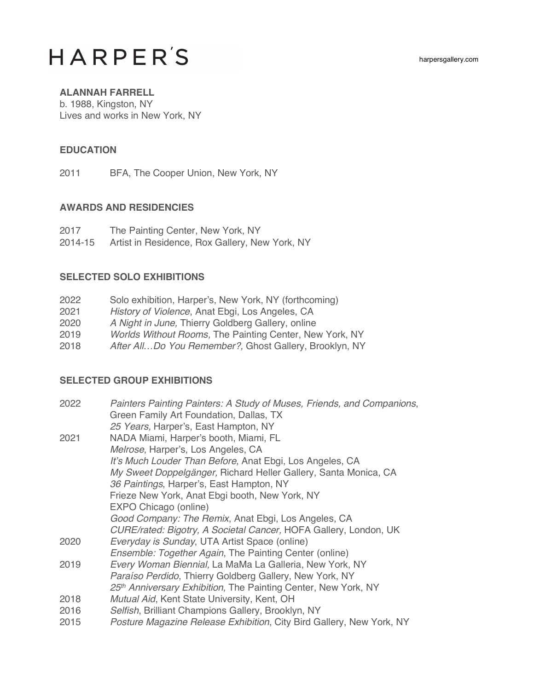harpersgallery.com

# **HARPER'S**

## **ALANNAH FARRELL**

b. 1988, Kingston, NY Lives and works in New York, NY

#### **EDUCATION**

2011 BFA, The Cooper Union, New York, NY

#### **AWARDS AND RESIDENCIES**

- 2017 The Painting Center, New York, NY
- 2014-15 Artist in Residence, Rox Gallery, New York, NY

#### **SELECTED SOLO EXHIBITIONS**

| 2022 | Solo exhibition, Harper's, New York, NY (forthcoming)   |
|------|---------------------------------------------------------|
| 2021 | History of Violence, Anat Ebgi, Los Angeles, CA         |
| 2020 | A Night in June, Thierry Goldberg Gallery, online       |
| 2019 | Worlds Without Rooms, The Painting Center, New York, NY |
| 2018 | After AllDo You Remember?, Ghost Gallery, Brooklyn, NY  |
|      |                                                         |

### **SELECTED GROUP EXHIBITIONS**

| 2022 | Painters Painting Painters: A Study of Muses, Friends, and Companions, |
|------|------------------------------------------------------------------------|
|      | Green Family Art Foundation, Dallas, TX                                |
|      | 25 Years, Harper's, East Hampton, NY                                   |
| 2021 | NADA Miami, Harper's booth, Miami, FL                                  |
|      | Melrose, Harper's, Los Angeles, CA                                     |
|      | It's Much Louder Than Before, Anat Ebgi, Los Angeles, CA               |
|      | My Sweet Doppelgänger, Richard Heller Gallery, Santa Monica, CA        |
|      | 36 Paintings, Harper's, East Hampton, NY                               |
|      | Frieze New York, Anat Ebgi booth, New York, NY                         |
|      | EXPO Chicago (online)                                                  |
|      | Good Company: The Remix, Anat Ebgi, Los Angeles, CA                    |
|      | CURE/rated: Bigotry, A Societal Cancer, HOFA Gallery, London, UK       |
| 2020 | Everyday is Sunday, UTA Artist Space (online)                          |
|      | <i>Ensemble: Together Again, The Painting Center (online)</i>          |
| 2019 | Every Woman Biennial, La MaMa La Galleria, New York, NY                |
|      | Paraíso Perdido, Thierry Goldberg Gallery, New York, NY                |
|      | 25th Anniversary Exhibition, The Painting Center, New York, NY         |
| 2018 | Mutual Aid, Kent State University, Kent, OH                            |
| 2016 | Selfish, Brilliant Champions Gallery, Brooklyn, NY                     |
| 2015 | Posture Magazine Release Exhibition, City Bird Gallery, New York, NY   |
|      |                                                                        |